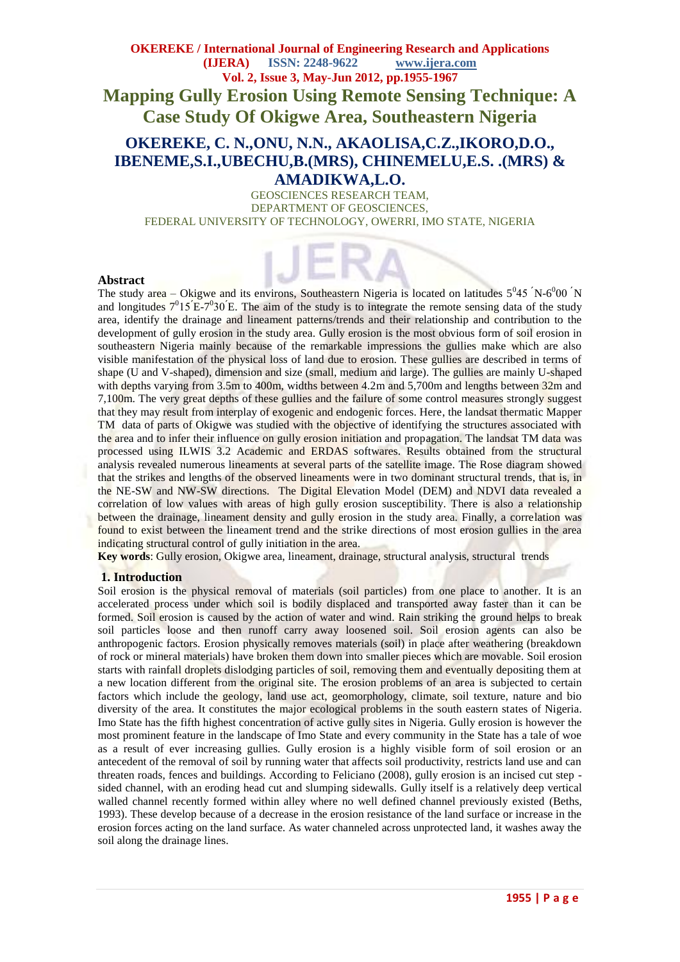# **OKEREKE / International Journal of Engineering Research and Applications (IJERA) ISSN: 2248-9622 www.ijera.com Vol. 2, Issue 3, May-Jun 2012, pp.1955-1967 Mapping Gully Erosion Using Remote Sensing Technique: A Case Study Of Okigwe Area, Southeastern Nigeria**

# **OKEREKE, C. N.,ONU, N.N., AKAOLISA,C.Z.,IKORO,D.O., IBENEME,S.I.,UBECHU,B.(MRS), CHINEMELU,E.S. .(MRS) & AMADIKWA,L.O.**

GEOSCIENCES RESEARCH TEAM, DEPARTMENT OF GEOSCIENCES, FEDERAL UNIVERSITY OF TECHNOLOGY, OWERRI, IMO STATE, NIGERIA

### **Abstract**

The study area – Okigwe and its environs, Southeastern Nigeria is located on latitudes  $5^045$  N- $6^000$  N and longitudes  $7^015'E-7^030'E$ . The aim of the study is to integrate the remote sensing data of the study area, identify the drainage and lineament patterns/trends and their relationship and contribution to the development of gully erosion in the study area. Gully erosion is the most obvious form of soil erosion in southeastern Nigeria mainly because of the remarkable impressions the gullies make which are also visible manifestation of the physical loss of land due to erosion. These gullies are described in terms of shape (U and V-shaped), dimension and size (small, medium and large). The gullies are mainly U-shaped with depths varying from  $3.5m$  to 400m, widths between 4.2m and  $5,700m$  and lengths between  $32m$  and 7,100m. The very great depths of these gullies and the failure of some control measures strongly suggest that they may result from interplay of exogenic and endogenic forces. Here, the landsat thermatic Mapper TM data of parts of Okigwe was studied with the objective of identifying the structures associated with the area and to infer their influence on gully erosion initiation and propagation. The landsat TM data was processed using ILWIS 3.2 Academic and ERDAS softwares. Results obtained from the structural analysis revealed numerous lineaments at several parts of the satellite image. The Rose diagram showed that the strikes and lengths of the observed lineaments were in two dominant structural trends, that is, in the NE-SW and NW-SW directions. The Digital Elevation Model (DEM) and NDVI data revealed a correlation of low values with areas of high gully erosion susceptibility. There is also a relationship between the drainage, lineament density and gully erosion in the study area. Finally, a correlation was found to exist between the lineament trend and the strike directions of most erosion gullies in the area indicating structural control of gully initiation in the area.

**Key words**: Gully erosion, Okigwe area, lineament, drainage, structural analysis, structural trends

### **1. Introduction**

Soil erosion is the physical removal of materials (soil particles) from one place to another. It is an accelerated process under which soil is bodily displaced and transported away faster than it can be formed. Soil erosion is caused by the action of water and wind. Rain striking the ground helps to break soil particles loose and then runoff carry away loosened soil. Soil erosion agents can also be anthropogenic factors. Erosion physically removes materials (soil) in place after weathering (breakdown of rock or mineral materials) have broken them down into smaller pieces which are movable. Soil erosion starts with rainfall droplets dislodging particles of soil, removing them and eventually depositing them at a new location different from the original site. The erosion problems of an area is subjected to certain factors which include the geology, land use act, geomorphology, climate, soil texture, nature and bio diversity of the area. It constitutes the major ecological problems in the south eastern states of Nigeria. Imo State has the fifth highest concentration of active gully sites in Nigeria. Gully erosion is however the most prominent feature in the landscape of Imo State and every community in the State has a tale of woe as a result of ever increasing gullies. Gully erosion is a highly visible form of soil erosion or an antecedent of the removal of soil by running water that affects soil productivity, restricts land use and can threaten roads, fences and buildings. According to Feliciano (2008), gully erosion is an incised cut step sided channel, with an eroding head cut and slumping sidewalls. Gully itself is a relatively deep vertical walled channel recently formed within alley where no well defined channel previously existed (Beths, 1993). These develop because of a decrease in the erosion resistance of the land surface or increase in the erosion forces acting on the land surface. As water channeled across unprotected land, it washes away the soil along the drainage lines.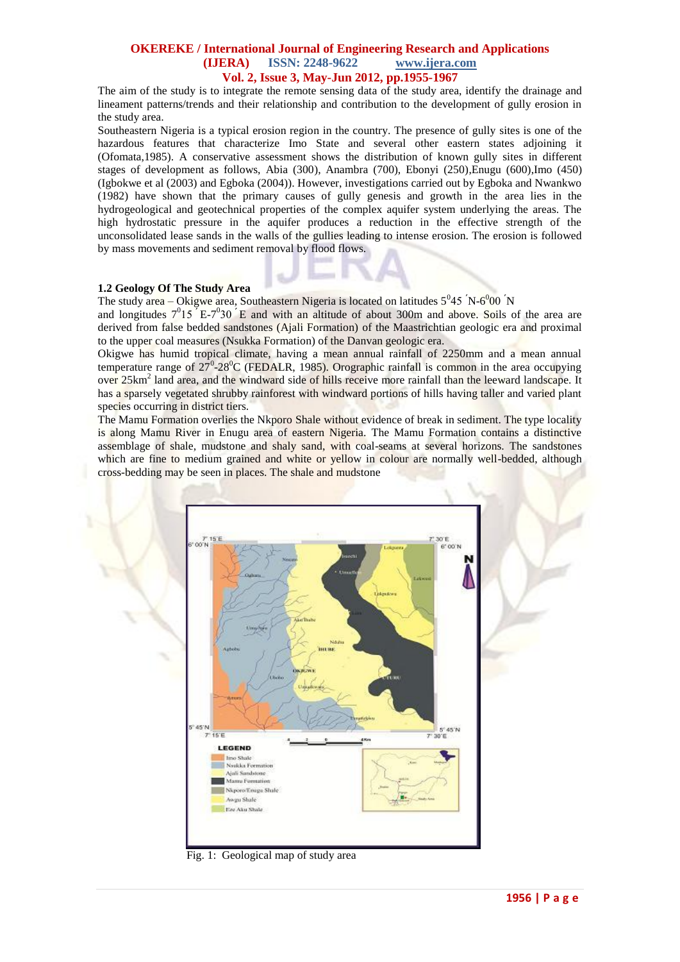The aim of the study is to integrate the remote sensing data of the study area, identify the drainage and lineament patterns/trends and their relationship and contribution to the development of gully erosion in the study area.

Southeastern Nigeria is a typical erosion region in the country. The presence of gully sites is one of the hazardous features that characterize Imo State and several other eastern states adjoining it (Ofomata,1985). A conservative assessment shows the distribution of known gully sites in different stages of development as follows, Abia (300), Anambra (700), Ebonyi (250),Enugu (600),Imo (450) (Igbokwe et al (2003) and Egboka (2004)). However, investigations carried out by Egboka and Nwankwo (1982) have shown that the primary causes of gully genesis and growth in the area lies in the hydrogeological and geotechnical properties of the complex aquifer system underlying the areas. The high hydrostatic pressure in the aquifer produces a reduction in the effective strength of the unconsolidated lease sands in the walls of the gullies leading to intense erosion. The erosion is followed by mass movements and sediment removal by flood flows.

### **1.2 Geology Of The Study Area**

The study area – Okigwe area, Southeastern Nigeria is located on latitudes  $5^045$  N- $6^000$  N

and longitudes  $7^015$  E- $7^030$  E and with an altitude of about 300m and above. Soils of the area are derived from false bedded sandstones (Ajali Formation) of the Maastrichtian geologic era and proximal to the upper coal measures (Nsukka Formation) of the Danvan geologic era.

Okigwe has humid tropical climate, having a mean annual rainfall of 2250mm and a mean annual temperature range of  $27^0$ -28<sup>0</sup>C (FEDALR, 1985). Orographic rainfall is common in the area occupying over 25km<sup>2</sup> land area, and the windward side of hills receive more rainfall than the leeward landscape. It has a sparsely vegetated shrubby rainforest with windward portions of hills having taller and varied plant species occurring in district tiers.

The Mamu Formation overlies the Nkporo Shale without evidence of break in sediment. The type locality is along Mamu River in Enugu area of eastern Nigeria. The Mamu Formation contains a distinctive assemblage of shale, mudstone and shaly sand, with coal-seams at several horizons. The sandstones which are fine to medium grained and white or yellow in colour are normally well-bedded, although cross-bedding may be seen in places. The shale and mudstone



Fig. 1: Geological map of study area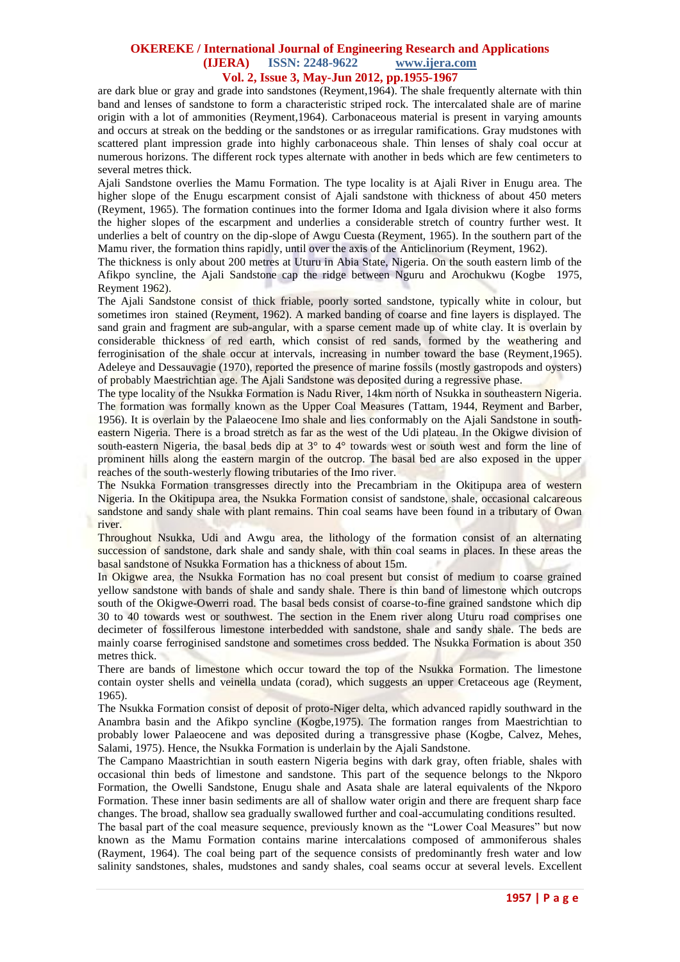are dark blue or gray and grade into sandstones (Reyment,1964). The shale frequently alternate with thin band and lenses of sandstone to form a characteristic striped rock. The intercalated shale are of marine origin with a lot of ammonities (Reyment,1964). Carbonaceous material is present in varying amounts and occurs at streak on the bedding or the sandstones or as irregular ramifications. Gray mudstones with scattered plant impression grade into highly carbonaceous shale. Thin lenses of shaly coal occur at numerous horizons. The different rock types alternate with another in beds which are few centimeters to several metres thick.

Ajali Sandstone overlies the Mamu Formation. The type locality is at Ajali River in Enugu area. The higher slope of the Enugu escarpment consist of Ajali sandstone with thickness of about 450 meters (Reyment, 1965). The formation continues into the former Idoma and Igala division where it also forms the higher slopes of the escarpment and underlies a considerable stretch of country further west. It underlies a belt of country on the dip-slope of Awgu Cuesta (Reyment, 1965). In the southern part of the Mamu river, the formation thins rapidly, until over the axis of the Anticlinorium (Reyment, 1962).

The thickness is only about 200 metres at Uturu in Abia State, Nigeria. On the south eastern limb of the Afikpo syncline, the Ajali Sandstone cap the ridge between Nguru and Arochukwu (Kogbe 1975, Reyment 1962).

The Ajali Sandstone consist of thick friable, poorly sorted sandstone, typically white in colour, but sometimes iron stained (Reyment, 1962). A marked banding of coarse and fine layers is displayed. The sand grain and fragment are sub-angular, with a sparse cement made up of white clay. It is overlain by considerable thickness of red earth, which consist of red sands, formed by the weathering and ferroginisation of the shale occur at intervals, increasing in number toward the base (Reyment,1965). Adeleye and Dessauvagie (1970), reported the presence of marine fossils (mostly gastropods and oysters) of probably Maestrichtian age. The Ajali Sandstone was deposited during a regressive phase.

The type locality of the Nsukka Formation is Nadu River, 14km north of Nsukka in southeastern Nigeria. The formation was formally known as the Upper Coal Measures (Tattam, 1944, Reyment and Barber, 1956). It is overlain by the Palaeocene Imo shale and lies conformably on the Ajali Sandstone in southeastern Nigeria. There is a broad stretch as far as the west of the Udi plateau. In the Okigwe division of south-eastern Nigeria, the basal beds dip at  $3^\circ$  to  $4^\circ$  towards west or south west and form the line of prominent hills along the eastern margin of the outcrop. The basal bed are also exposed in the upper reaches of the south-westerly flowing tributaries of the Imo river.

The Nsukka Formation transgresses directly into the Precambriam in the Okitipupa area of western Nigeria. In the Okitipupa area, the Nsukka Formation consist of sandstone, shale, occasional calcareous sandstone and sandy shale with plant remains. Thin coal seams have been found in a tributary of Owan river.

Throughout Nsukka, Udi and Awgu area, the lithology of the formation consist of an alternating succession of sandstone, dark shale and sandy shale, with thin coal seams in places. In these areas the basal sandstone of Nsukka Formation has a thickness of about 15m.

In Okigwe area, the Nsukka Formation has no coal present but consist of medium to coarse grained yellow sandstone with bands of shale and sandy shale. There is thin band of limestone which outcrops south of the Okigwe-Owerri road. The basal beds consist of coarse-to-fine grained sandstone which dip 30 to 40 towards west or southwest. The section in the Enem river along Uturu road comprises one decimeter of fossilferous limestone interbedded with sandstone, shale and sandy shale. The beds are mainly coarse ferroginised sandstone and sometimes cross bedded. The Nsukka Formation is about 350 metres thick.

There are bands of limestone which occur toward the top of the Nsukka Formation. The limestone contain oyster shells and veinella undata (corad), which suggests an upper Cretaceous age (Reyment, 1965).

The Nsukka Formation consist of deposit of proto-Niger delta, which advanced rapidly southward in the Anambra basin and the Afikpo syncline (Kogbe,1975). The formation ranges from Maestrichtian to probably lower Palaeocene and was deposited during a transgressive phase (Kogbe, Calvez, Mehes, Salami, 1975). Hence, the Nsukka Formation is underlain by the Ajali Sandstone.

The Campano Maastrichtian in south eastern Nigeria begins with dark gray, often friable, shales with occasional thin beds of limestone and sandstone. This part of the sequence belongs to the Nkporo Formation, the Owelli Sandstone, Enugu shale and Asata shale are lateral equivalents of the Nkporo Formation. These inner basin sediments are all of shallow water origin and there are frequent sharp face changes. The broad, shallow sea gradually swallowed further and coal-accumulating conditions resulted.

The basal part of the coal measure sequence, previously known as the "Lower Coal Measures" but now known as the Mamu Formation contains marine intercalations composed of ammoniferous shales (Rayment, 1964). The coal being part of the sequence consists of predominantly fresh water and low salinity sandstones, shales, mudstones and sandy shales, coal seams occur at several levels. Excellent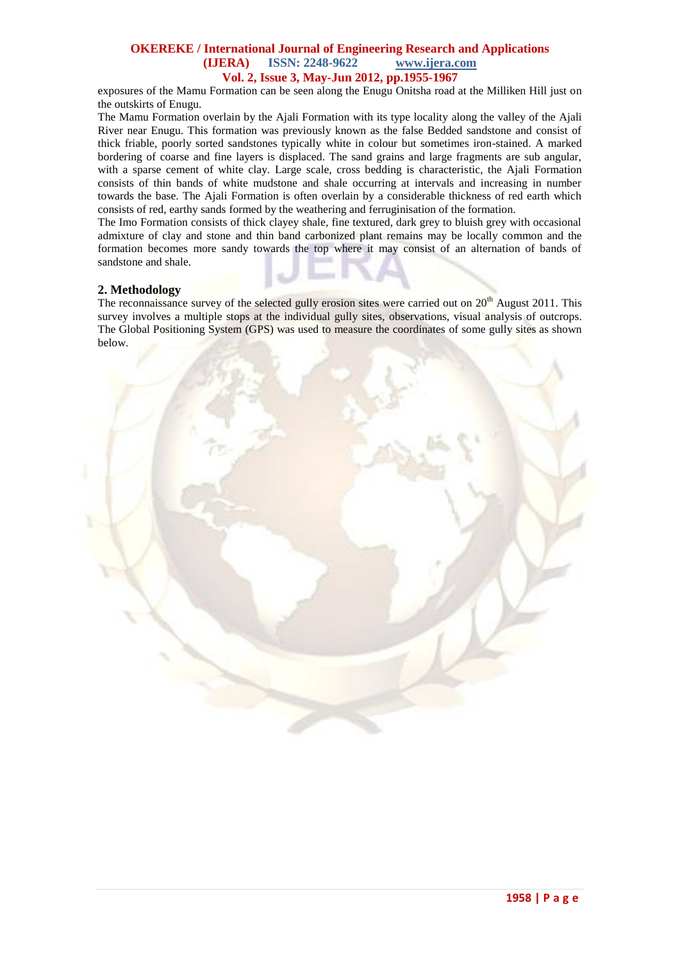exposures of the Mamu Formation can be seen along the Enugu Onitsha road at the Milliken Hill just on the outskirts of Enugu.

The Mamu Formation overlain by the Ajali Formation with its type locality along the valley of the Ajali River near Enugu. This formation was previously known as the false Bedded sandstone and consist of thick friable, poorly sorted sandstones typically white in colour but sometimes iron-stained. A marked bordering of coarse and fine layers is displaced. The sand grains and large fragments are sub angular, with a sparse cement of white clay. Large scale, cross bedding is characteristic, the Ajali Formation consists of thin bands of white mudstone and shale occurring at intervals and increasing in number towards the base. The Ajali Formation is often overlain by a considerable thickness of red earth which consists of red, earthy sands formed by the weathering and ferruginisation of the formation.

The Imo Formation consists of thick clayey shale, fine textured, dark grey to bluish grey with occasional admixture of clay and stone and thin band carbonized plant remains may be locally common and the formation becomes more sandy towards the top where it may consist of an alternation of bands of sandstone and shale.

## **2. Methodology**

The reconnaissance survey of the selected gully erosion sites were carried out on  $20<sup>th</sup>$  August 2011. This survey involves a multiple stops at the individual gully sites, observations, visual analysis of outcrops. The Global Positioning System (GPS) was used to measure the coordinates of some gully sites as shown below.

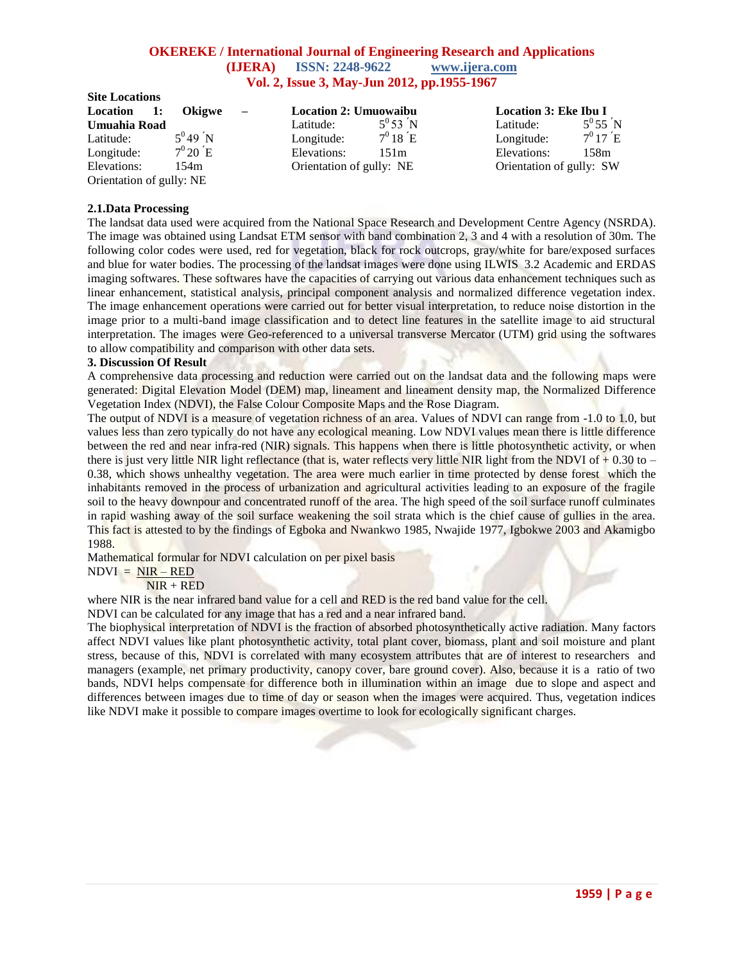| <b>Site Locations</b>    |                       |                          |                              |                    |                              |                       |
|--------------------------|-----------------------|--------------------------|------------------------------|--------------------|------------------------------|-----------------------|
| Location 1:              | <b>Okigwe</b>         | $\overline{\phantom{m}}$ | <b>Location 2: Umuowaibu</b> |                    | <b>Location 3: Eke Ibu I</b> |                       |
| Umuahia Road             |                       |                          | Latitude:                    | $5^{0} 53 N$       | Latitude:                    | $5^0 55^{\prime} N$   |
| Latitude:                | $5^{0}49$ N           |                          | Longitude:                   | $7^0 18 \text{ E}$ | Longitude:                   | $7^{\rm o}17{\rm ~E}$ |
| Longitude:               | $7^{\rm 0}20{\rm ~E}$ |                          | Elevations:                  | 151m               | Elevations:                  | 158m                  |
| Elevations:              | 154m                  |                          | Orientation of gully: NE     |                    | Orientation of gully: SW     |                       |
| Orientation of gully: NE |                       |                          |                              |                    |                              |                       |

### **2.1.Data Processing**

The landsat data used were acquired from the National Space Research and Development Centre Agency (NSRDA). The image was obtained using Landsat ETM sensor with band combination 2, 3 and 4 with a resolution of 30m. The following color codes were used, red for vegetation, black for rock outcrops, gray/white for bare/exposed surfaces and blue for water bodies. The processing of the landsat images were done using ILWIS 3.2 Academic and ERDAS imaging softwares. These softwares have the capacities of carrying out various data enhancement techniques such as linear enhancement, statistical analysis, principal component analysis and normalized difference vegetation index. The image enhancement operations were carried out for better visual interpretation, to reduce noise distortion in the image prior to a multi-band image classification and to detect line features in the satellite image to aid structural interpretation. The images were Geo-referenced to a universal transverse Mercator (UTM) grid using the softwares to allow compatibility and comparison with other data sets.

### **3. Discussion Of Result**

A comprehensive data processing and reduction were carried out on the landsat data and the following maps were generated: Digital Elevation Model (DEM) map, lineament and lineament density map, the Normalized Difference Vegetation Index (NDVI), the False Colour Composite Maps and the Rose Diagram.

The output of NDVI is a measure of vegetation richness of an area. Values of NDVI can range from -1.0 to 1.0, but values less than zero typically do not have any ecological meaning. Low NDVI values mean there is little difference between the red and near infra-red (NIR) signals. This happens when there is little photosynthetic activity, or when there is just very little NIR light reflectance (that is, water reflects very little NIR light from the NDVI of  $+0.30$  to  $-$ 0.38, which shows unhealthy vegetation. The area were much earlier in time protected by dense forest which the inhabitants removed in the process of urbanization and agricultural activities leading to an exposure of the fragile soil to the heavy downpour and concentrated runoff of the area. The high speed of the soil surface runoff culminates in rapid washing away of the soil surface weakening the soil strata which is the chief cause of gullies in the area. This fact is attested to by the findings of Egboka and Nwankwo 1985, Nwajide 1977, Igbokwe 2003 and Akamigbo 1988.

Mathematical formular for NDVI calculation on per pixel basis

## $NDVI = NIR - RED$

 $NIR + RED$ 

where NIR is the near infrared band value for a cell and RED is the red band value for the cell.

NDVI can be calculated for any image that has a red and a near infrared band.

The biophysical interpretation of NDVI is the fraction of absorbed photosynthetically active radiation. Many factors affect NDVI values like plant photosynthetic activity, total plant cover, biomass, plant and soil moisture and plant stress, because of this, NDVI is correlated with many ecosystem attributes that are of interest to researchers and managers (example, net primary productivity, canopy cover, bare ground cover). Also, because it is a ratio of two bands, NDVI helps compensate for difference both in illumination within an image due to slope and aspect and differences between images due to time of day or season when the images were acquired. Thus, vegetation indices like NDVI make it possible to compare images overtime to look for ecologically significant charges.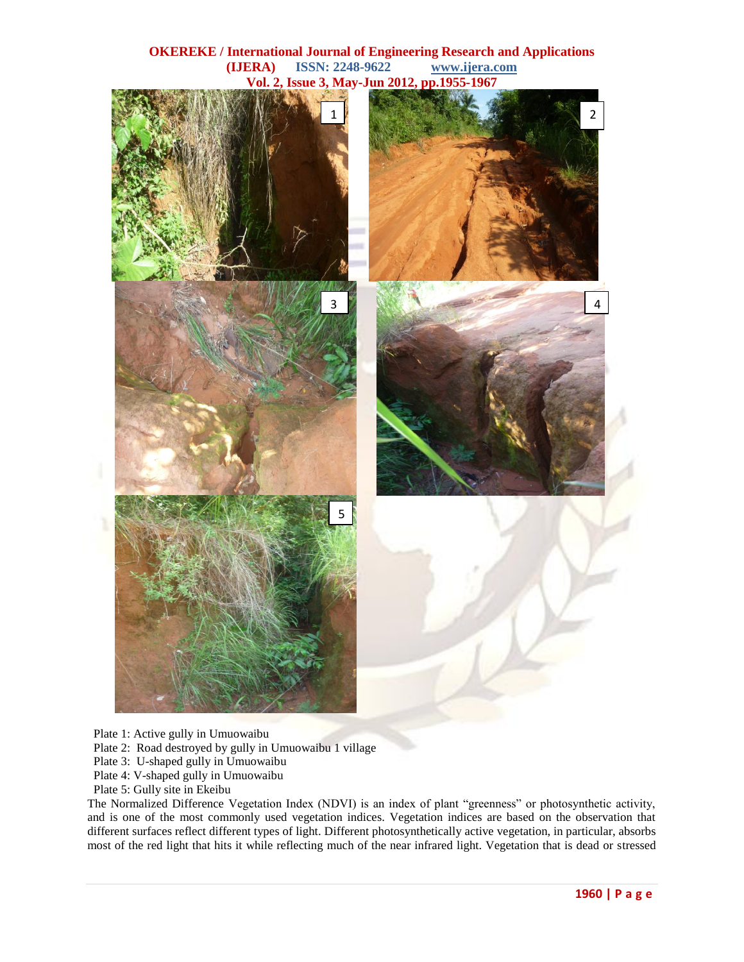

Plate 1: Active gully in Umuowaibu

- Plate 2: Road destroyed by gully in Umuowaibu 1 village
- Plate 3: U-shaped gully in Umuowaibu
- Plate 4: V-shaped gully in Umuowaibu
- Plate 5: Gully site in Ekeibu

The Normalized Difference Vegetation Index (NDVI) is an index of plant "greenness" or photosynthetic activity, and is one of the most commonly used vegetation indices. Vegetation indices are based on the observation that different surfaces reflect different types of light. Different photosynthetically active vegetation, in particular, absorbs most of the red light that hits it while reflecting much of the near infrared light. Vegetation that is dead or stressed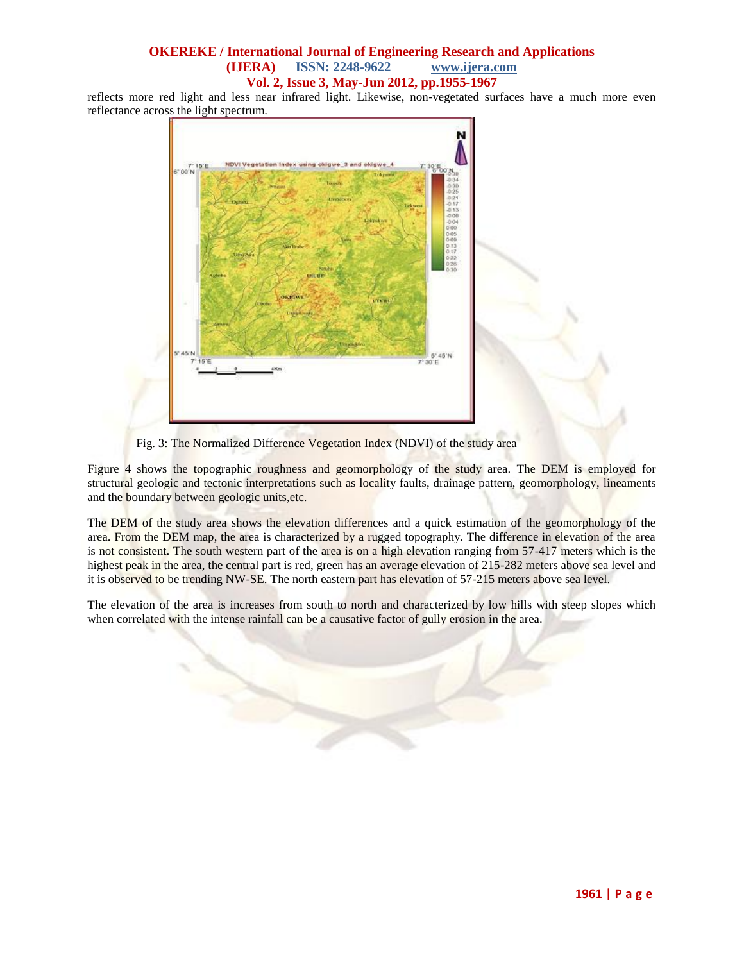reflects more red light and less near infrared light. Likewise, non-vegetated surfaces have a much more even reflectance across the light spectrum.



Fig. 3: The Normalized Difference Vegetation Index (NDVI) of the study area

Figure 4 shows the topographic roughness and geomorphology of the study area. The DEM is employed for structural geologic and tectonic interpretations such as locality faults, drainage pattern, geomorphology, lineaments and the boundary between geologic units,etc.

The DEM of the study area shows the elevation differences and a quick estimation of the geomorphology of the area. From the DEM map, the area is characterized by a rugged topography. The difference in elevation of the area is not consistent. The south western part of the area is on a high elevation ranging from 57-417 meters which is the highest peak in the area, the central part is red, green has an average elevation of 215-282 meters above sea level and it is observed to be trending NW-SE. The north eastern part has elevation of 57-215 meters above sea level.

The elevation of the area is increases from south to north and characterized by low hills with steep slopes which when correlated with the intense rainfall can be a causative factor of gully erosion in the area.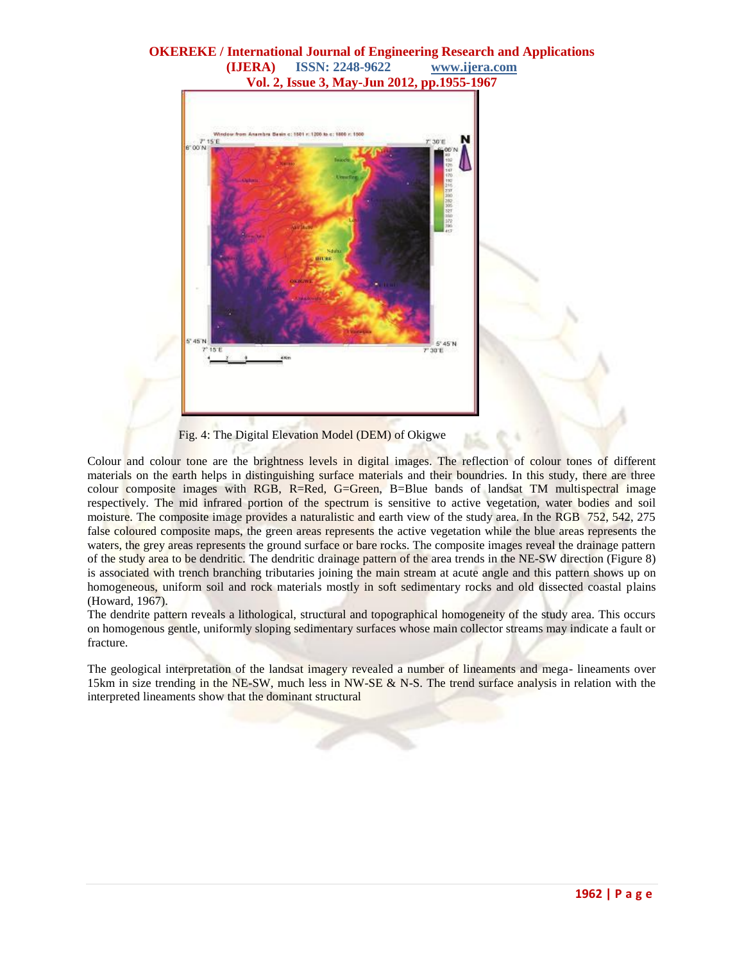

Fig. 4: The Digital Elevation Model (DEM) of Okigwe

Colour and colour tone are the brightness levels in digital images. The reflection of colour tones of different materials on the earth helps in distinguishing surface materials and their boundries. In this study, there are three colour composite images with RGB, R=Red, G=Green, B=Blue bands of landsat TM multispectral image respectively. The mid infrared portion of the spectrum is sensitive to active vegetation, water bodies and soil moisture. The composite image provides a naturalistic and earth view of the study area. In the RGB 752, 542, 275 false coloured composite maps, the green areas represents the active vegetation while the blue areas represents the waters, the grey areas represents the ground surface or bare rocks. The composite images reveal the drainage pattern of the study area to be dendritic. The dendritic drainage pattern of the area trends in the NE-SW direction (Figure 8) is associated with trench branching tributaries joining the main stream at acute angle and this pattern shows up on homogeneous, uniform soil and rock materials mostly in soft sedimentary rocks and old dissected coastal plains (Howard, 1967).

The dendrite pattern reveals a lithological, structural and topographical homogeneity of the study area. This occurs on homogenous gentle, uniformly sloping sedimentary surfaces whose main collector streams may indicate a fault or fracture.

The geological interpretation of the landsat imagery revealed a number of lineaments and mega- lineaments over 15km in size trending in the NE-SW, much less in NW-SE & N-S. The trend surface analysis in relation with the interpreted lineaments show that the dominant structural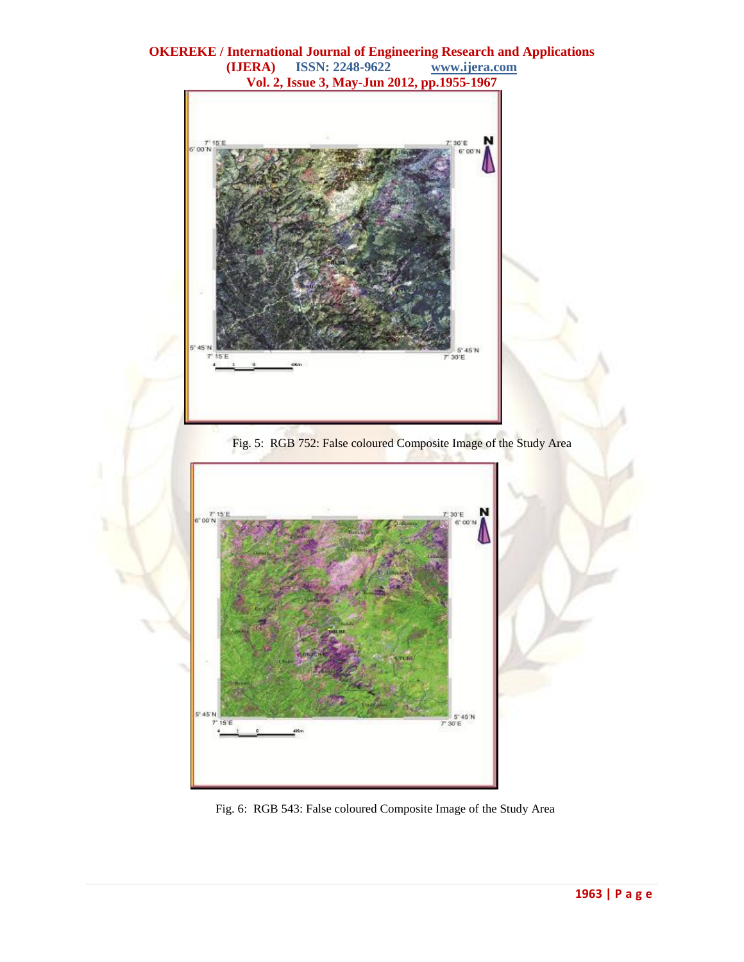





Fig. 6: RGB 543: False coloured Composite Image of the Study Area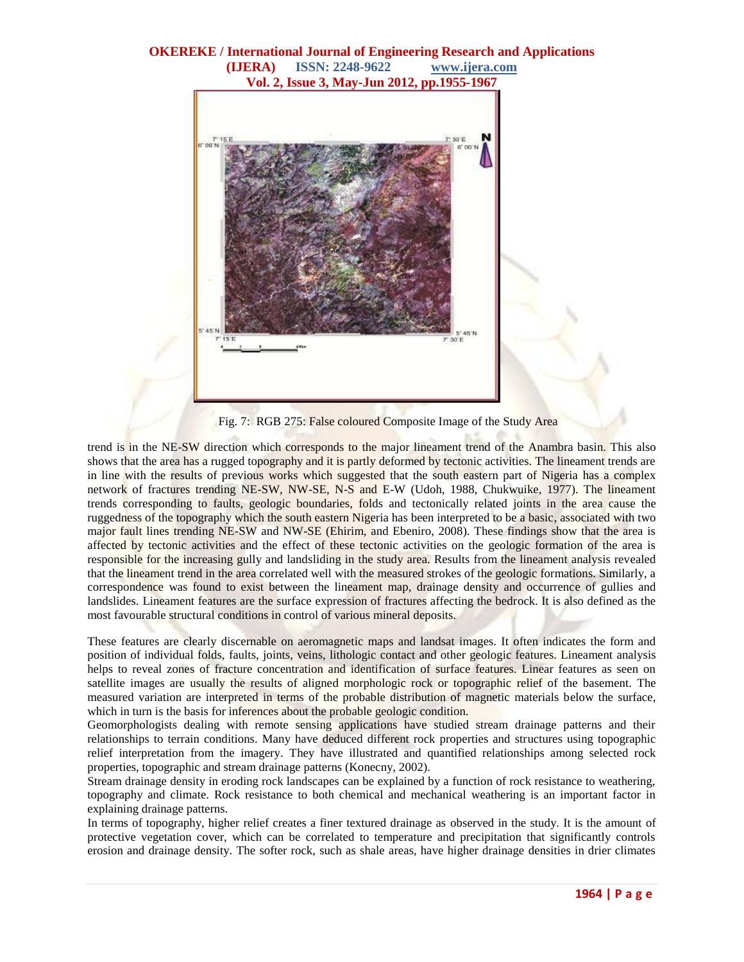

Fig. 7: RGB 275: False coloured Composite Image of the Study Area

trend is in the NE-SW direction which corresponds to the major lineament trend of the Anambra basin. This also shows that the area has a rugged topography and it is partly deformed by tectonic activities. The lineament trends are in line with the results of previous works which suggested that the south eastern part of Nigeria has a complex network of fractures trending NE-SW, NW-SE, N-S and E-W (Udoh, 1988, Chukwuike, 1977). The lineament trends corresponding to faults, geologic boundaries, folds and tectonically related joints in the area cause the ruggedness of the topography which the south eastern Nigeria has been interpreted to be a basic, associated with two major fault lines trending NE-SW and NW-SE (Ehirim, and Ebeniro, 2008). These findings show that the area is affected by tectonic activities and the effect of these tectonic activities on the geologic formation of the area is responsible for the increasing gully and landsliding in the study area. Results from the lineament analysis revealed that the lineament trend in the area correlated well with the measured strokes of the geologic formations. Similarly, a correspondence was found to exist between the lineament map, drainage density and occurrence of gullies and landslides. Lineament features are the surface expression of fractures affecting the bedrock. It is also defined as the most favourable structural conditions in control of various mineral deposits.

These features are clearly discernable on aeromagnetic maps and landsat images. It often indicates the form and position of individual folds, faults, joints, veins, lithologic contact and other geologic features. Lineament analysis helps to reveal zones of fracture concentration and identification of surface features. Linear features as seen on satellite images are usually the results of aligned morphologic rock or topographic relief of the basement. The measured variation are interpreted in terms of the probable distribution of magnetic materials below the surface, which in turn is the basis for inferences about the probable geologic condition.

Geomorphologists dealing with remote sensing applications have studied stream drainage patterns and their relationships to terrain conditions. Many have deduced different rock properties and structures using topographic relief interpretation from the imagery. They have illustrated and quantified relationships among selected rock properties, topographic and stream drainage patterns (Konecny, 2002).

Stream drainage density in eroding rock landscapes can be explained by a function of rock resistance to weathering, topography and climate. Rock resistance to both chemical and mechanical weathering is an important factor in explaining drainage patterns.

In terms of topography, higher relief creates a finer textured drainage as observed in the study. It is the amount of protective vegetation cover, which can be correlated to temperature and precipitation that significantly controls erosion and drainage density. The softer rock, such as shale areas, have higher drainage densities in drier climates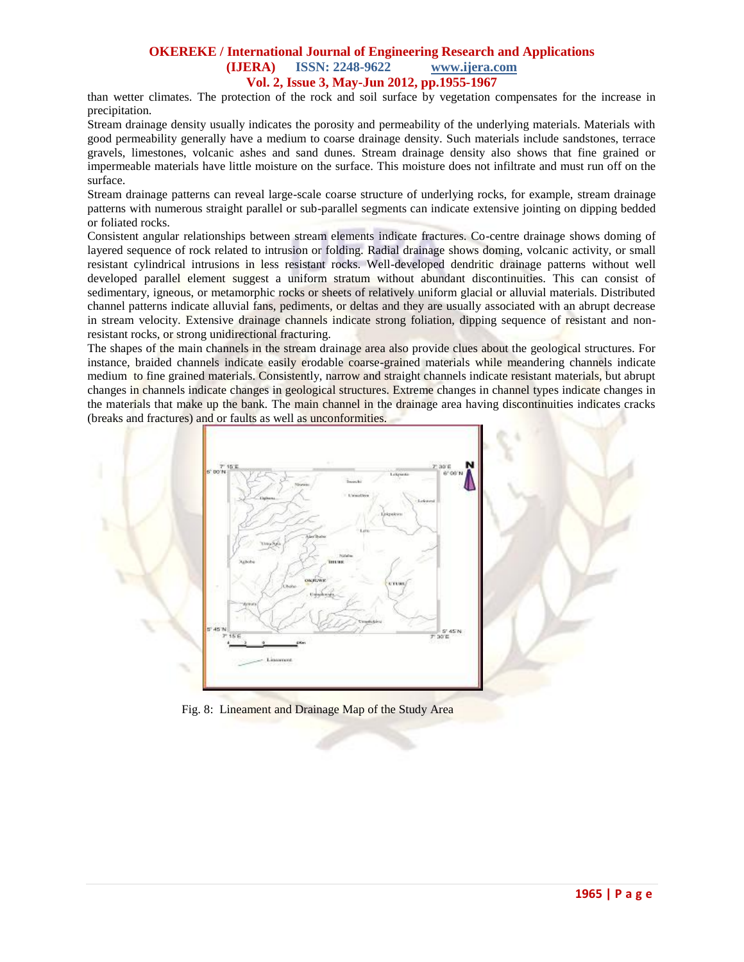than wetter climates. The protection of the rock and soil surface by vegetation compensates for the increase in precipitation.

Stream drainage density usually indicates the porosity and permeability of the underlying materials. Materials with good permeability generally have a medium to coarse drainage density. Such materials include sandstones, terrace gravels, limestones, volcanic ashes and sand dunes. Stream drainage density also shows that fine grained or impermeable materials have little moisture on the surface. This moisture does not infiltrate and must run off on the surface.

Stream drainage patterns can reveal large-scale coarse structure of underlying rocks, for example, stream drainage patterns with numerous straight parallel or sub-parallel segments can indicate extensive jointing on dipping bedded or foliated rocks.

Consistent angular relationships between stream elements indicate fractures. Co-centre drainage shows doming of layered sequence of rock related to intrusion or folding. Radial drainage shows doming, volcanic activity, or small resistant cylindrical intrusions in less resistant rocks. Well-developed dendritic drainage patterns without well developed parallel element suggest a uniform stratum without abundant discontinuities. This can consist of sedimentary, igneous, or metamorphic rocks or sheets of relatively uniform glacial or alluvial materials. Distributed channel patterns indicate alluvial fans, pediments, or deltas and they are usually associated with an abrupt decrease in stream velocity. Extensive drainage channels indicate strong foliation, dipping sequence of resistant and nonresistant rocks, or strong unidirectional fracturing.

The shapes of the main channels in the stream drainage area also provide clues about the geological structures. For instance, braided channels indicate easily erodable coarse-grained materials while meandering channels indicate medium to fine grained materials. Consistently, narrow and straight channels indicate resistant materials, but abrupt changes in channels indicate changes in geological structures. Extreme changes in channel types indicate changes in the materials that make up the bank. The main channel in the drainage area having discontinuities indicates cracks (breaks and fractures) and or faults as well as unconformities.



Fig. 8: Lineament and Drainage Map of the Study Area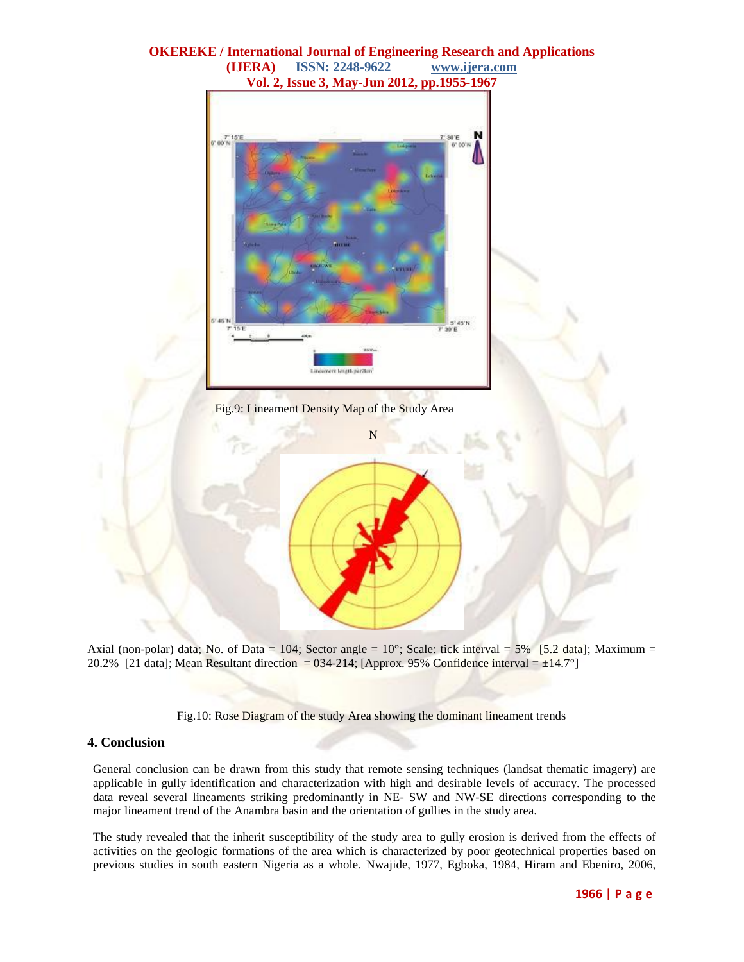

Axial (non-polar) data; No. of Data = 104; Sector angle =  $10^{\circ}$ ; Scale: tick interval =  $5\%$  [5.2 data]; Maximum = 20.2% [21 data]; Mean Resultant direction = 034-214; [Approx. 95% Confidence interval =  $\pm 14.7^{\circ}$ ]

Fig.10: Rose Diagram of the study Area showing the dominant lineament trends

### **4. Conclusion**

General conclusion can be drawn from this study that remote sensing techniques (landsat thematic imagery) are applicable in gully identification and characterization with high and desirable levels of accuracy. The processed data reveal several lineaments striking predominantly in NE- SW and NW-SE directions corresponding to the major lineament trend of the Anambra basin and the orientation of gullies in the study area.

The study revealed that the inherit susceptibility of the study area to gully erosion is derived from the effects of activities on the geologic formations of the area which is characterized by poor geotechnical properties based on previous studies in south eastern Nigeria as a whole. Nwajide, 1977, Egboka, 1984, Hiram and Ebeniro, 2006,